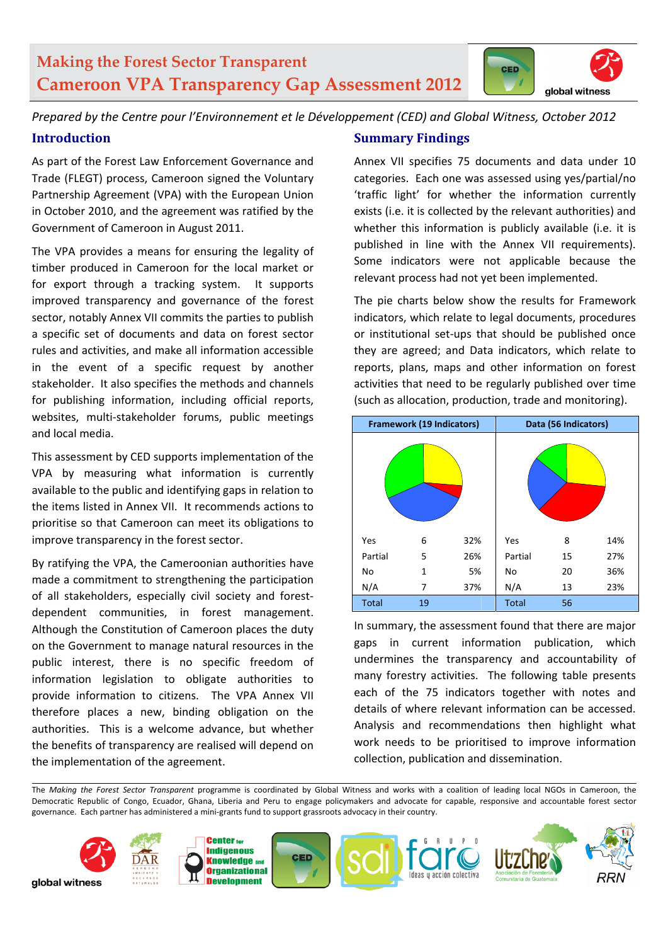# **Making the Forest Sector Transparent Cameroon VPA Transparency Gap Assessment 2012**



*Prepared by the Centre pour l'Environnement et le Développement (CED) and Global Witness, October 2012* 

# **Introduction**

As part of the Forest Law Enforcement Governance and Trade (FLEGT) process, Cameroon signed the Voluntary Partnership Agreement (VPA) with the European Union in October 2010, and the agreement was ratified by the Government of Cameroon in August 2011.

The VPA provides a means for ensuring the legality of timber produced in Cameroon for the local market or for export through a tracking system. It supports improved transparency and governance of the forest sector, notably Annex VII commits the parties to publish a specific set of documents and data on forest sector rules and activities, and make all information accessible in the event of a specific request by another stakeholder. It also specifies the methods and channels for publishing information, including official reports, websites, multi-stakeholder forums, public meetings and local media.

This assessment by CED supports implementation of the VPA by measuring what information is currently available to the public and identifying gaps in relation to the items listed in Annex VII. It recommends actions to prioritise so that Cameroon can meet its obligations to improve transparency in the forest sector.

By ratifying the VPA, the Cameroonian authorities have made a commitment to strengthening the participation of all stakeholders, especially civil society and forest‐ dependent communities, in forest management. Although the Constitution of Cameroon places the duty on the Government to manage natural resources in the public interest, there is no specific freedom of information legislation to obligate authorities to provide information to citizens. The VPA Annex VII therefore places a new, binding obligation on the authorities. This is a welcome advance, but whether the benefits of transparency are realised will depend on the implementation of the agreement.

### **Summary Findings**

Annex VII specifies 75 documents and data under 10 categories. Each one was assessed using yes/partial/no 'traffic light' for whether the information currently exists (i.e. it is collected by the relevant authorities) and whether this information is publicly available (i.e. it is published in line with the Annex VII requirements). Some indicators were not applicable because the relevant process had not yet been implemented.

The pie charts below show the results for Framework indicators, which relate to legal documents, procedures or institutional set‐ups that should be published once they are agreed; and Data indicators, which relate to reports, plans, maps and other information on forest activities that need to be regularly published over time (such as allocation, production, trade and monitoring).

|              | <b>Framework (19 Indicators)</b> |     | Data (56 Indicators) |    |     |  |
|--------------|----------------------------------|-----|----------------------|----|-----|--|
|              |                                  |     |                      |    |     |  |
| Yes          | 6                                | 32% | Yes                  | 8  | 14% |  |
| Partial      | 5                                | 26% | Partial              | 15 | 27% |  |
| No           | 1                                | 5%  | No                   | 20 | 36% |  |
| N/A          | 7                                | 37% | N/A                  | 13 | 23% |  |
| <b>Total</b> | 19                               |     | <b>Total</b>         | 56 |     |  |

In summary, the assessment found that there are major gaps in current information publication, which undermines the transparency and accountability of many forestry activities. The following table presents each of the 75 indicators together with notes and details of where relevant information can be accessed. Analysis and recommendations then highlight what work needs to be prioritised to improve information collection, publication and dissemination.

The *Making the Forest Sector Transparent* programme is coordinated by Global Witness and works with a coalition of leading local NGOs in Cameroon, the Democratic Republic of Congo, Ecuador, Ghana, Liberia and Peru to engage policymakers and advocate for capable, responsive and accountable forest sector governance. Each partner has administered a mini‐grants fund to support grassroots advocacy in their country.

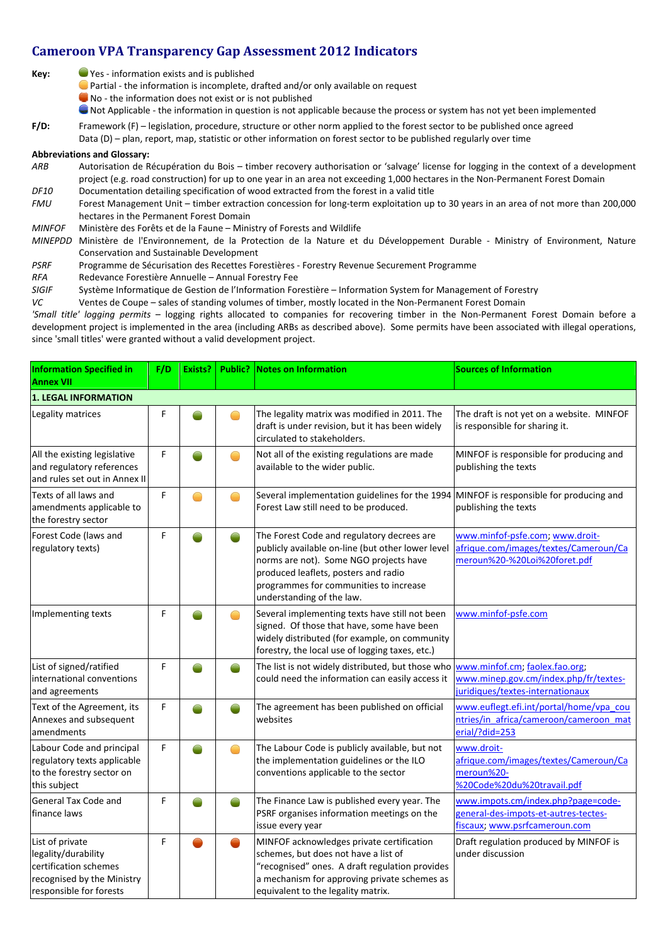## **Cameroon VPA Transparency Gap Assessment 2012 Indicators**

| Key: | ● Yes - information exists and is published                |
|------|------------------------------------------------------------|
|      | $\lambda$ , and the set of the set of the set of $\lambda$ |

● Partial - the information is incomplete, drafted and/or only available on request

No ‐ the information does not exist or is not published

Not Applicable ‐ the information in question is not applicable because the process or system has not yet been implemented

**F/D:** Framework (F) – legislation, procedure, structure or other norm applied to the forest sector to be published once agreed

Data (D) – plan, report, map, statistic or other information on forest sector to be published regularly over time

#### **Abbreviations and Glossary:**

*ARB*  Autorisation de Récupération du Bois – timber recovery authorisation or 'salvage' license for logging in the context of a development project (e.g. road construction) for up to one year in an area not exceeding 1,000 hectares in the Non-Permanent Forest Domain *DF10*  Documentation detailing specification of wood extracted from the forest in a valid title

FMU Forest Management Unit – timber extraction concession for long-term exploitation up to 30 years in an area of not more than 200,000 hectares in the Permanent Forest Domain

*MINFOF* Ministère des Forêts et de la Faune – Ministry of Forests and Wildlife

- *MINEPDD* Ministère de l'Environnement, de la Protection de la Nature et du Développement Durable ‐ Ministry of Environment, Nature Conservation and Sustainable Development
- *PSRF* Programme de Sécurisation des Recettes Forestières ‐ Forestry Revenue Securement Programme
- *RFA* Redevance Forestière Annuelle Annual Forestry Fee
- *SIGIF* Système Informatique de Gestion de l'Information Forestière Information System for Management of Forestry

*VC* Ventes de Coupe – sales of standing volumes of timber, mostly located in the Non‐Permanent Forest Domain

*'Small title' logging permits* – logging rights allocated to companies for recovering timber in the Non‐Permanent Forest Domain before a development project is implemented in the area (including ARBs as described above). Some permits have been associated with illegal operations, since 'small titles' were granted without a valid development project.

| <b>Information Specified in</b><br><b>Annex VII</b>                                                                      | F/D | Exists? |  | <b>Public? Notes on Information</b>                                                                                                                                                                                                                      | <b>Sources of Information</b>                                                                               |  |  |
|--------------------------------------------------------------------------------------------------------------------------|-----|---------|--|----------------------------------------------------------------------------------------------------------------------------------------------------------------------------------------------------------------------------------------------------------|-------------------------------------------------------------------------------------------------------------|--|--|
| <b>1. LEGAL INFORMATION</b>                                                                                              |     |         |  |                                                                                                                                                                                                                                                          |                                                                                                             |  |  |
| Legality matrices                                                                                                        | F   |         |  | The legality matrix was modified in 2011. The<br>draft is under revision, but it has been widely<br>circulated to stakeholders.                                                                                                                          | The draft is not yet on a website. MINFOF<br>is responsible for sharing it.                                 |  |  |
| All the existing legislative<br>and regulatory references<br>and rules set out in Annex II                               | F   |         |  | Not all of the existing regulations are made<br>available to the wider public.                                                                                                                                                                           | MINFOF is responsible for producing and<br>publishing the texts                                             |  |  |
| Texts of all laws and<br>amendments applicable to<br>the forestry sector                                                 | F   |         |  | Several implementation guidelines for the 1994 MINFOF is responsible for producing and<br>Forest Law still need to be produced.                                                                                                                          | publishing the texts                                                                                        |  |  |
| Forest Code (laws and<br>regulatory texts)                                                                               | F   |         |  | The Forest Code and regulatory decrees are<br>publicly available on-line (but other lower level<br>norms are not). Some NGO projects have<br>produced leaflets, posters and radio<br>programmes for communities to increase<br>understanding of the law. | www.minfof-psfe.com; www.droit-<br>afrique.com/images/textes/Cameroun/Ca<br>meroun%20-%20Loi%20foret.pdf    |  |  |
| Implementing texts                                                                                                       | F   |         |  | Several implementing texts have still not been<br>signed. Of those that have, some have been<br>widely distributed (for example, on community<br>forestry, the local use of logging taxes, etc.)                                                         | www.minfof-psfe.com                                                                                         |  |  |
| List of signed/ratified<br>international conventions<br>and agreements                                                   | F   |         |  | The list is not widely distributed, but those who<br>could need the information can easily access it                                                                                                                                                     | www.minfof.cm; faolex.fao.org;<br>www.minep.gov.cm/index.php/fr/textes-<br>juridiques/textes-internationaux |  |  |
| Text of the Agreement, its<br>Annexes and subsequent<br>amendments                                                       | F   |         |  | The agreement has been published on official<br>websites                                                                                                                                                                                                 | www.euflegt.efi.int/portal/home/vpa cou<br>ntries/in africa/cameroon/cameroon mat<br>erial/?did=253         |  |  |
| Labour Code and principal<br>regulatory texts applicable<br>to the forestry sector on<br>this subject                    | F   |         |  | The Labour Code is publicly available, but not<br>the implementation guidelines or the ILO<br>conventions applicable to the sector                                                                                                                       | www.droit-<br>afrique.com/images/textes/Cameroun/Ca<br>meroun%20-<br>%20Code%20du%20travail.pdf             |  |  |
| <b>General Tax Code and</b><br>finance laws                                                                              | F   |         |  | The Finance Law is published every year. The<br>PSRF organises information meetings on the<br>issue every year                                                                                                                                           | www.impots.cm/index.php?page=code-<br>general-des-impots-et-autres-tectes-<br>fiscaux; www.psrfcameroun.com |  |  |
| List of private<br>legality/durability<br>certification schemes<br>recognised by the Ministry<br>responsible for forests | F   |         |  | MINFOF acknowledges private certification<br>schemes, but does not have a list of<br>"recognised" ones. A draft regulation provides<br>a mechanism for approving private schemes as<br>equivalent to the legality matrix.                                | Draft regulation produced by MINFOF is<br>under discussion                                                  |  |  |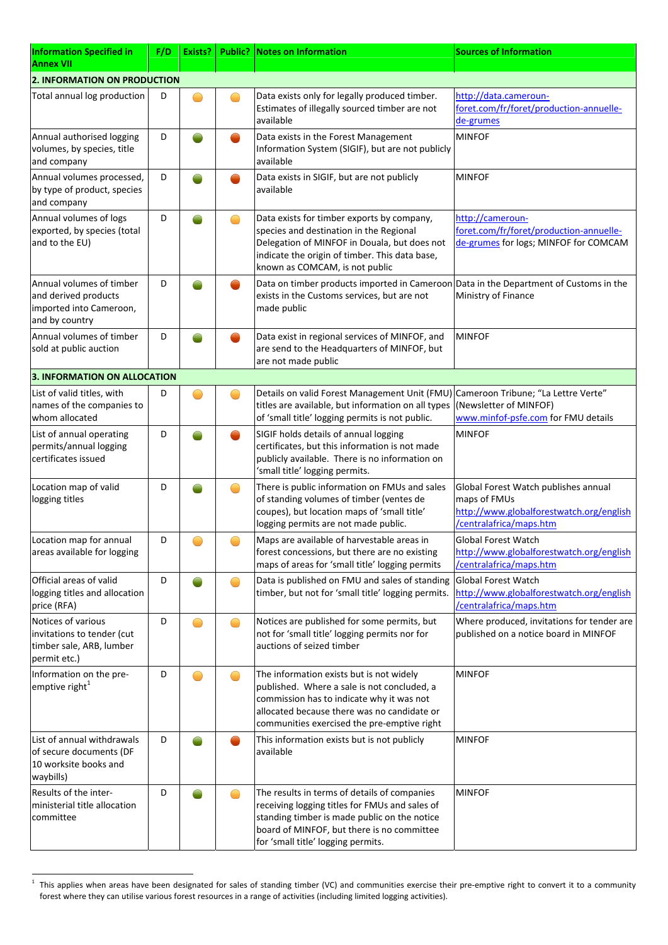| <b>Information Specified in</b><br><b>Annex VII</b>                                           | F/D | Exists? |                       | <b>Public? Notes on Information</b>                                                                                                                                                                                                | <b>Sources of Information</b>                                                                                               |
|-----------------------------------------------------------------------------------------------|-----|---------|-----------------------|------------------------------------------------------------------------------------------------------------------------------------------------------------------------------------------------------------------------------------|-----------------------------------------------------------------------------------------------------------------------------|
| <b>2. INFORMATION ON PRODUCTION</b>                                                           |     |         |                       |                                                                                                                                                                                                                                    |                                                                                                                             |
| Total annual log production                                                                   | D   |         |                       | Data exists only for legally produced timber.<br>Estimates of illegally sourced timber are not<br>available                                                                                                                        | http://data.cameroun-<br>foret.com/fr/foret/production-annuelle-<br>de-grumes                                               |
| Annual authorised logging<br>volumes, by species, title<br>and company                        | D   |         |                       | Data exists in the Forest Management<br>Information System (SIGIF), but are not publicly<br>available                                                                                                                              | <b>MINFOF</b>                                                                                                               |
| Annual volumes processed,<br>by type of product, species<br>and company                       | D   |         |                       | Data exists in SIGIF, but are not publicly<br>available                                                                                                                                                                            | <b>MINFOF</b>                                                                                                               |
| Annual volumes of logs<br>exported, by species (total<br>and to the EU)                       | D   |         |                       | Data exists for timber exports by company,<br>species and destination in the Regional<br>Delegation of MINFOF in Douala, but does not<br>indicate the origin of timber. This data base,<br>known as COMCAM, is not public          | http://cameroun-<br>foret.com/fr/foret/production-annuelle-<br>de-grumes for logs; MINFOF for COMCAM                        |
| Annual volumes of timber<br>and derived products<br>imported into Cameroon,<br>and by country | D   |         |                       | Data on timber products imported in Cameroon Data in the Department of Customs in the<br>exists in the Customs services, but are not<br>made public                                                                                | Ministry of Finance                                                                                                         |
| Annual volumes of timber<br>sold at public auction                                            | D   |         |                       | Data exist in regional services of MINFOF, and<br>are send to the Headquarters of MINFOF, but<br>are not made public                                                                                                               | <b>MINFOF</b>                                                                                                               |
| 3. INFORMATION ON ALLOCATION                                                                  |     |         |                       |                                                                                                                                                                                                                                    |                                                                                                                             |
| List of valid titles, with<br>names of the companies to<br>whom allocated                     | D   |         |                       | Details on valid Forest Management Unit (FMU) Cameroon Tribune; "La Lettre Verte"<br>titles are available, but information on all types<br>of 'small title' logging permits is not public.                                         | (Newsletter of MINFOF)<br>www.minfof-psfe.com for FMU details                                                               |
| List of annual operating<br>permits/annual logging<br>certificates issued                     | D   |         |                       | SIGIF holds details of annual logging<br>certificates, but this information is not made<br>publicly available. There is no information on<br>'small title' logging permits.                                                        | <b>MINFOF</b>                                                                                                               |
| Location map of valid<br>logging titles                                                       | D   |         |                       | There is public information on FMUs and sales<br>of standing volumes of timber (ventes de<br>coupes), but location maps of 'small title'<br>logging permits are not made public.                                                   | Global Forest Watch publishes annual<br>maps of FMUs<br>http://www.globalforestwatch.org/english<br>/centralafrica/maps.htm |
| Location map for annual<br>areas available for logging                                        | D   |         |                       | Maps are available of harvestable areas in<br>forest concessions, but there are no existing<br>maps of areas for 'small title' logging permits                                                                                     | <b>Global Forest Watch</b><br>http://www.globalforestwatch.org/english<br>/centralafrica/maps.htm                           |
| Official areas of valid<br>logging titles and allocation<br>price (RFA)                       | D   |         |                       | Data is published on FMU and sales of standing<br>timber, but not for 'small title' logging permits.                                                                                                                               | <b>Global Forest Watch</b><br>http://www.globalforestwatch.org/english<br>/centralafrica/maps.htm                           |
| Notices of various<br>invitations to tender (cut<br>timber sale, ARB, lumber<br>permit etc.)  | D   |         |                       | Notices are published for some permits, but<br>not for 'small title' logging permits nor for<br>auctions of seized timber                                                                                                          | Where produced, invitations for tender are<br>published on a notice board in MINFOF                                         |
| Information on the pre-<br>emptive right <sup>1</sup>                                         | D   |         |                       | The information exists but is not widely<br>published. Where a sale is not concluded, a<br>commission has to indicate why it was not<br>allocated because there was no candidate or<br>communities exercised the pre-emptive right | <b>MINFOF</b>                                                                                                               |
| List of annual withdrawals<br>of secure documents (DF<br>10 worksite books and<br>waybills)   | D   |         |                       | This information exists but is not publicly<br>available                                                                                                                                                                           | <b>MINFOF</b>                                                                                                               |
| Results of the inter-<br>ministerial title allocation<br>committee                            | D   |         | $\hspace{0.5cm} \Box$ | The results in terms of details of companies<br>receiving logging titles for FMUs and sales of<br>standing timber is made public on the notice<br>board of MINFOF, but there is no committee<br>for 'small title' logging permits. | <b>MINFOF</b>                                                                                                               |

 $^1$  This applies when areas have been designated for sales of standing timber (VC) and communities exercise their pre-emptive right to convert it to a community forest where they can utilise various forest resources in a range of activities (including limited logging activities).

 $\overline{a}$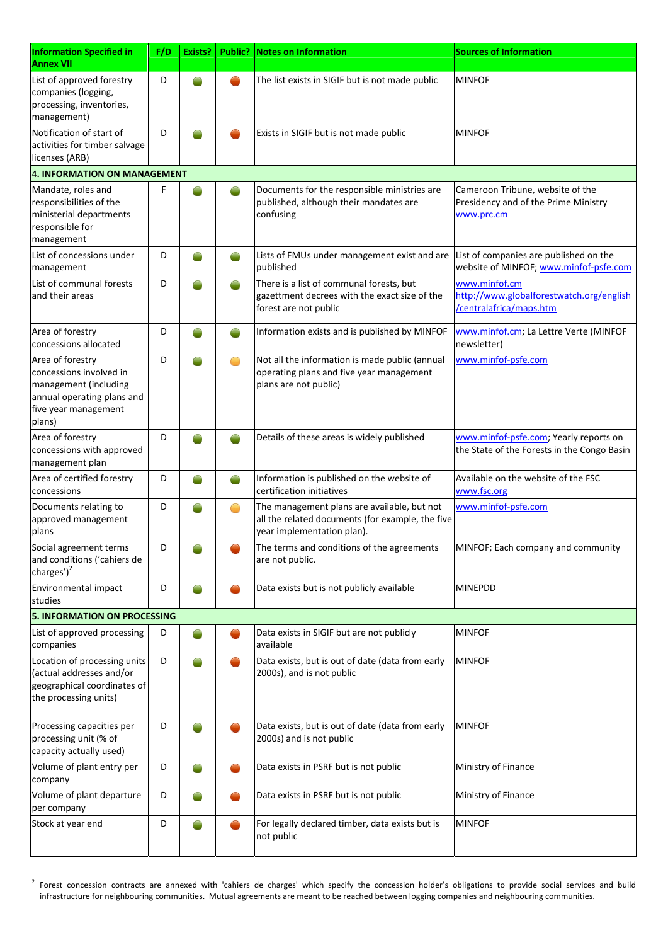| <b>Information Specified in</b><br><b>Annex VII</b>                                                                                  | F/D | Exists? |   | <b>Public?</b> Notes on Information                                                                                           | <b>Sources of Information</b>                                                          |
|--------------------------------------------------------------------------------------------------------------------------------------|-----|---------|---|-------------------------------------------------------------------------------------------------------------------------------|----------------------------------------------------------------------------------------|
| List of approved forestry<br>companies (logging,<br>processing, inventories,<br>management)                                          | D   |         |   | The list exists in SIGIF but is not made public                                                                               | <b>MINFOF</b>                                                                          |
| Notification of start of<br>activities for timber salvage<br>licenses (ARB)                                                          | D   |         |   | Exists in SIGIF but is not made public                                                                                        | <b>MINFOF</b>                                                                          |
| 4. INFORMATION ON MANAGEMENT                                                                                                         |     |         |   |                                                                                                                               |                                                                                        |
| Mandate, roles and<br>responsibilities of the<br>ministerial departments<br>responsible for<br>management                            | F   |         |   | Documents for the responsible ministries are<br>published, although their mandates are<br>confusing                           | Cameroon Tribune, website of the<br>Presidency and of the Prime Ministry<br>www.prc.cm |
| List of concessions under<br>management                                                                                              | D   |         |   | Lists of FMUs under management exist and are<br>published                                                                     | List of companies are published on the<br>website of MINFOF; www.minfof-psfe.com       |
| List of communal forests<br>and their areas                                                                                          | D   |         |   | There is a list of communal forests, but<br>gazettment decrees with the exact size of the<br>forest are not public            | www.minfof.cm<br>http://www.globalforestwatch.org/english<br>/centralafrica/maps.htm   |
| Area of forestry<br>concessions allocated                                                                                            | D   |         |   | Information exists and is published by MINFOF                                                                                 | www.minfof.cm; La Lettre Verte (MINFOF<br>newsletter)                                  |
| Area of forestry<br>concessions involved in<br>management (including<br>annual operating plans and<br>five year management<br>plans) | D   |         | ● | Not all the information is made public (annual<br>operating plans and five year management<br>plans are not public)           | www.minfof-psfe.com                                                                    |
| Area of forestry<br>concessions with approved<br>management plan                                                                     | D   |         |   | Details of these areas is widely published                                                                                    | www.minfof-psfe.com; Yearly reports on<br>the State of the Forests in the Congo Basin  |
| Area of certified forestry<br>concessions                                                                                            | D   |         |   | Information is published on the website of<br>certification initiatives                                                       | Available on the website of the FSC<br>www.fsc.org                                     |
| Documents relating to<br>approved management<br>plans                                                                                | D   |         |   | The management plans are available, but not<br>all the related documents (for example, the five<br>year implementation plan). | www.minfof-psfe.com                                                                    |
| Social agreement terms<br>and conditions ('cahiers de<br>charges') $^2$                                                              | D   |         |   | The terms and conditions of the agreements<br>are not public.                                                                 | MINFOF; Each company and community                                                     |
| Environmental impact<br>studies                                                                                                      | D   |         |   | Data exists but is not publicly available                                                                                     | <b>MINEPDD</b>                                                                         |
| <b>5. INFORMATION ON PROCESSING</b>                                                                                                  |     |         |   |                                                                                                                               |                                                                                        |
| List of approved processing<br>companies                                                                                             | D   |         |   | Data exists in SIGIF but are not publicly<br>available                                                                        | <b>MINFOF</b>                                                                          |
| Location of processing units<br>(actual addresses and/or<br>geographical coordinates of<br>the processing units)                     | D   |         |   | Data exists, but is out of date (data from early<br>2000s), and is not public                                                 | <b>MINFOF</b>                                                                          |
| Processing capacities per<br>processing unit (% of<br>capacity actually used)                                                        | D   |         |   | Data exists, but is out of date (data from early<br>2000s) and is not public                                                  | <b>MINFOF</b>                                                                          |
| Volume of plant entry per<br>company                                                                                                 | D   |         |   | Data exists in PSRF but is not public                                                                                         | Ministry of Finance                                                                    |
| Volume of plant departure<br>per company                                                                                             | D   |         |   | Data exists in PSRF but is not public                                                                                         | Ministry of Finance                                                                    |
| Stock at year end                                                                                                                    | D   |         |   | For legally declared timber, data exists but is<br>not public                                                                 | <b>MINFOF</b>                                                                          |

 $^2$  Forest concession contracts are annexed with 'cahiers de charges' which specify the concession holder's obligations to provide social services and build infrastructure for neighbouring communities. Mutual agreements are meant to be reached between logging companies and neighbouring communities.

 $\overline{a}$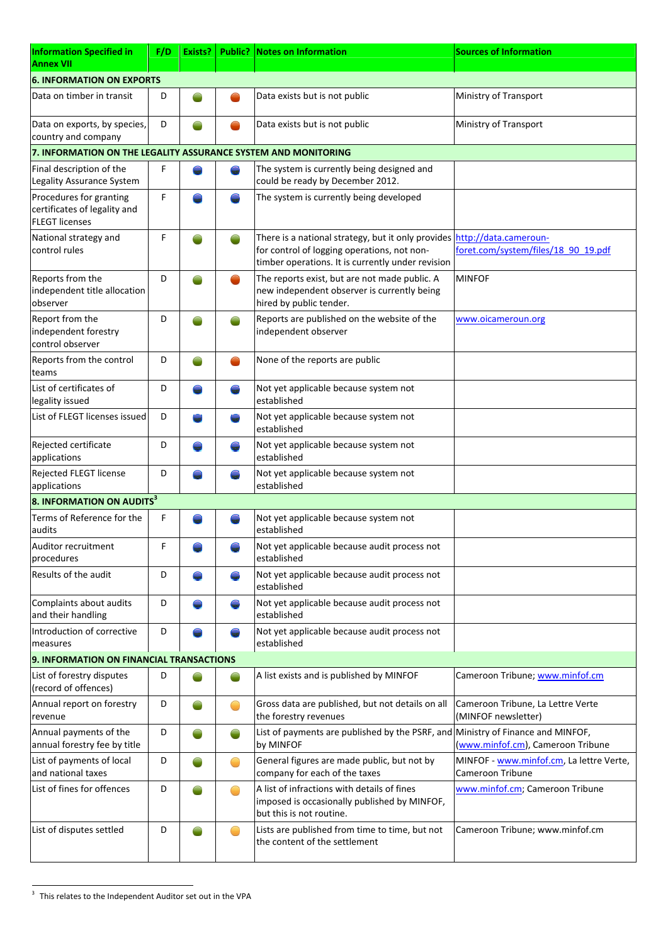| Information Specified in<br><b>Annex VII</b>                                     | F/D | Exists? |   | <b>Public? Notes on Information</b>                                                                                                                    | <b>Sources of Information</b>                                        |  |  |
|----------------------------------------------------------------------------------|-----|---------|---|--------------------------------------------------------------------------------------------------------------------------------------------------------|----------------------------------------------------------------------|--|--|
| <b>6. INFORMATION ON EXPORTS</b>                                                 |     |         |   |                                                                                                                                                        |                                                                      |  |  |
| Data on timber in transit                                                        | D   |         |   | Data exists but is not public                                                                                                                          | Ministry of Transport                                                |  |  |
| Data on exports, by species,<br>country and company                              | D   |         |   | Data exists but is not public                                                                                                                          | Ministry of Transport                                                |  |  |
| 7. INFORMATION ON THE LEGALITY ASSURANCE SYSTEM AND MONITORING                   |     |         |   |                                                                                                                                                        |                                                                      |  |  |
| Final description of the<br>Legality Assurance System                            | F   |         |   | The system is currently being designed and<br>could be ready by December 2012.                                                                         |                                                                      |  |  |
| Procedures for granting<br>certificates of legality and<br><b>FLEGT licenses</b> | F   |         |   | The system is currently being developed                                                                                                                |                                                                      |  |  |
| National strategy and<br>control rules                                           | F   |         |   | There is a national strategy, but it only provides<br>for control of logging operations, not non-<br>timber operations. It is currently under revision | http://data.cameroun-<br>foret.com/system/files/18 90 19.pdf         |  |  |
| Reports from the<br>independent title allocation<br>observer                     | D   |         |   | The reports exist, but are not made public. A<br>new independent observer is currently being<br>hired by public tender.                                | <b>MINFOF</b>                                                        |  |  |
| Report from the<br>independent forestry<br>control observer                      | D   |         |   | Reports are published on the website of the<br>independent observer                                                                                    | www.oicameroun.org                                                   |  |  |
| Reports from the control<br>teams                                                | D   |         |   | None of the reports are public                                                                                                                         |                                                                      |  |  |
| List of certificates of<br>legality issued                                       | D   |         |   | Not yet applicable because system not<br>established                                                                                                   |                                                                      |  |  |
| List of FLEGT licenses issued                                                    | D   |         |   | Not yet applicable because system not<br>established                                                                                                   |                                                                      |  |  |
| Rejected certificate<br>applications                                             | D   |         |   | Not yet applicable because system not<br>established                                                                                                   |                                                                      |  |  |
| Rejected FLEGT license<br>applications                                           | D   |         |   | Not yet applicable because system not<br>established                                                                                                   |                                                                      |  |  |
| 8. INFORMATION ON AUDITS <sup>3</sup>                                            |     |         |   |                                                                                                                                                        |                                                                      |  |  |
| Terms of Reference for the<br>audits                                             | F   |         |   | Not yet applicable because system not<br>established                                                                                                   |                                                                      |  |  |
| Auditor recruitment<br>procedures                                                | F   |         |   | Not yet applicable because audit process not<br>established                                                                                            |                                                                      |  |  |
| Results of the audit                                                             | D   |         |   | Not yet applicable because audit process not<br>established                                                                                            |                                                                      |  |  |
| Complaints about audits<br>and their handling                                    | D   |         |   | Not yet applicable because audit process not<br>established                                                                                            |                                                                      |  |  |
| Introduction of corrective<br>measures                                           | D   |         |   | Not yet applicable because audit process not<br>established                                                                                            |                                                                      |  |  |
| 9. INFORMATION ON FINANCIAL TRANSACTIONS                                         |     |         |   |                                                                                                                                                        |                                                                      |  |  |
| List of forestry disputes<br>(record of offences)                                | D   |         |   | A list exists and is published by MINFOF                                                                                                               | Cameroon Tribune; www.minfof.cm                                      |  |  |
| Annual report on forestry<br>revenue                                             | D   |         |   | Gross data are published, but not details on all<br>the forestry revenues                                                                              | Cameroon Tribune, La Lettre Verte<br>(MINFOF newsletter)             |  |  |
| Annual payments of the<br>annual forestry fee by title                           | D   |         |   | List of payments are published by the PSRF, and<br>by MINFOF                                                                                           | Ministry of Finance and MINFOF,<br>(www.minfof.cm), Cameroon Tribune |  |  |
| List of payments of local<br>and national taxes                                  | D   |         | ◯ | General figures are made public, but not by<br>company for each of the taxes                                                                           | MINFOF - www.minfof.cm, La lettre Verte,<br>Cameroon Tribune         |  |  |
| List of fines for offences                                                       | D   |         |   | A list of infractions with details of fines<br>imposed is occasionally published by MINFOF,<br>but this is not routine.                                | www.minfof.cm; Cameroon Tribune                                      |  |  |
| List of disputes settled                                                         | D   |         |   | Lists are published from time to time, but not<br>the content of the settlement                                                                        | Cameroon Tribune; www.minfof.cm                                      |  |  |

 $3$  This relates to the Independent Auditor set out in the VPA

 $\overline{a}$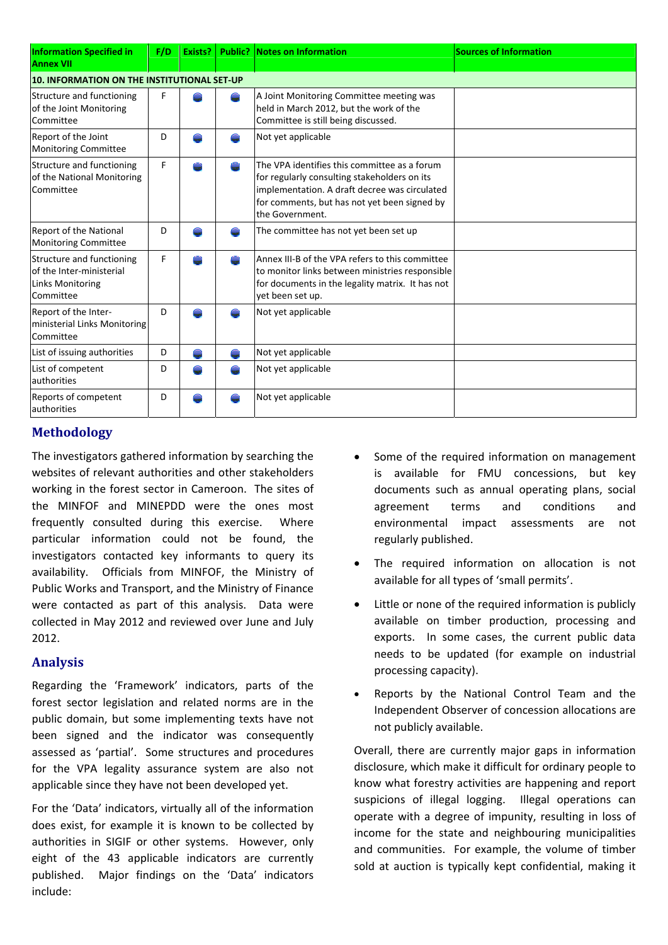| <b>Information Specified in</b><br><b>Annex VII</b>                                           | F/D | Exists? |    | <b>Public? Notes on Information</b>                                                                                                                                                                              | <b>Sources of Information</b> |
|-----------------------------------------------------------------------------------------------|-----|---------|----|------------------------------------------------------------------------------------------------------------------------------------------------------------------------------------------------------------------|-------------------------------|
| 10. INFORMATION ON THE INSTITUTIONAL SET-UP                                                   |     |         |    |                                                                                                                                                                                                                  |                               |
| Structure and functioning<br>of the Joint Monitoring<br><b>Committee</b>                      | F   |         | ÷, | A Joint Monitoring Committee meeting was<br>held in March 2012, but the work of the<br>Committee is still being discussed.                                                                                       |                               |
| Report of the Joint<br><b>Monitoring Committee</b>                                            | D   |         |    | Not yet applicable                                                                                                                                                                                               |                               |
| Structure and functioning<br>of the National Monitoring<br>Committee                          | F   |         |    | The VPA identifies this committee as a forum<br>for regularly consulting stakeholders on its<br>implementation. A draft decree was circulated<br>for comments, but has not yet been signed by<br>the Government. |                               |
| <b>Report of the National</b><br><b>Monitoring Committee</b>                                  | D   |         |    | The committee has not yet been set up                                                                                                                                                                            |                               |
| Structure and functioning<br>of the Inter-ministerial<br><b>Links Monitoring</b><br>Committee | F   |         |    | Annex III-B of the VPA refers to this committee<br>to monitor links between ministries responsible<br>for documents in the legality matrix. It has not<br>vet been set up.                                       |                               |
| Report of the Inter-<br>ministerial Links Monitoring<br>Committee                             | D   |         |    | Not yet applicable                                                                                                                                                                                               |                               |
| List of issuing authorities                                                                   | D   |         |    | Not yet applicable                                                                                                                                                                                               |                               |
| List of competent<br>authorities                                                              | D   |         |    | Not yet applicable                                                                                                                                                                                               |                               |
| Reports of competent<br>authorities                                                           | D   |         |    | Not yet applicable                                                                                                                                                                                               |                               |

# **Methodology**

The investigators gathered information by searching the websites of relevant authorities and other stakeholders working in the forest sector in Cameroon. The sites of the MINFOF and MINEPDD were the ones most frequently consulted during this exercise. Where particular information could not be found, the investigators contacted key informants to query its availability. Officials from MINFOF, the Ministry of Public Works and Transport, and the Ministry of Finance were contacted as part of this analysis. Data were collected in May 2012 and reviewed over June and July 2012.

# **Analysis**

Regarding the 'Framework' indicators, parts of the forest sector legislation and related norms are in the public domain, but some implementing texts have not been signed and the indicator was consequently assessed as 'partial'. Some structures and procedures for the VPA legality assurance system are also not applicable since they have not been developed yet.

For the 'Data' indicators, virtually all of the information does exist, for example it is known to be collected by authorities in SIGIF or other systems. However, only eight of the 43 applicable indicators are currently published. Major findings on the 'Data' indicators include:

- Some of the required information on management is available for FMU concessions, but key documents such as annual operating plans, social agreement terms and conditions and environmental impact assessments are not regularly published.
- The required information on allocation is not available for all types of 'small permits'.
- Little or none of the required information is publicly available on timber production, processing and exports. In some cases, the current public data needs to be updated (for example on industrial processing capacity).
- Reports by the National Control Team and the Independent Observer of concession allocations are not publicly available.

Overall, there are currently major gaps in information disclosure, which make it difficult for ordinary people to know what forestry activities are happening and report suspicions of illegal logging. Illegal operations can operate with a degree of impunity, resulting in loss of income for the state and neighbouring municipalities and communities. For example, the volume of timber sold at auction is typically kept confidential, making it